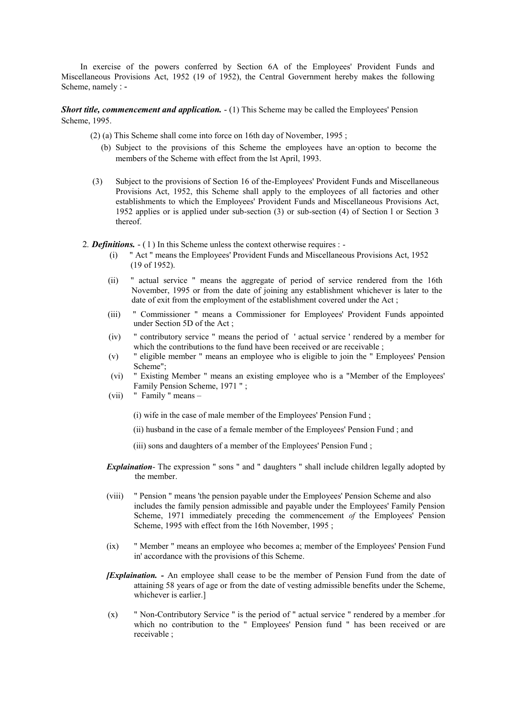In exercise of the powers conferred by Section 6A of the Employees' Provident Funds and Miscellaneous Provisions Act, 1952 (19 of 1952), the Central Government hereby makes the following Scheme, namely : -

*Short title, commencement and application.*  $- (1)$  This Scheme may be called the Employees' Pension Scheme, 1995.

- (2) (a) This Scheme shall come into force on 16th day of November, 1995 ;
	- (b) Subject to the provisions of this Scheme the employees have an·option to become the members of the Scheme with effect from the lst April, 1993.
- (3) Subject to the provisions of Section 16 of the-Employees' Provident Funds and Miscellaneous Provisions Act, 1952, this Scheme shall apply to the employees of all factories and other establishments to which the Employees' Provident Funds and Miscellaneous Provisions Act, 1952 applies or is applied under sub-section (3) or sub-section (4) of Section l or Section 3 thereof.
- 2*. Definitions.*  ( l ) In this Scheme unless the context otherwise requires :
	- " Act " means the Employees' Provident Funds and Miscellaneous Provisions Act, 1952 (19 of 1952).
	- (ii) " actual service " means the aggregate of period of service rendered from the 16th November, 1995 or from the date of joining any establishment whichever is later to the date of exit from the employment of the establishment covered under the Act ;
	- (iii) " Commissioner " means a Commissioner for Employees' Provident Funds appointed under Section 5D of the Act ;
	- (iv) " contributory service " means the period of ' actual service ' rendered by a member for which the contributions to the fund have been received or are receivable :
	- (v) " eligible member " means an employee who is eligible to join the " Employees' Pension Scheme";
	- (vi) " Existing Member " means an existing employee who is a "Member of the Employees' Family Pension Scheme, 1971 " ;
	- (vii) " Family " means
		- (i) wife in the case of male member of the Employees' Pension Fund ;
		- (ii) husband in the case of a female member of the Employees' Pension Fund ; and
		- (iii) sons and daughters of a member of the Employees' Pension Fund ;
	- *Explaination* The expression " sons " and " daughters " shall include children legally adopted by the member.
	- (viii) " Pension " means 'the pension payable under the Employees' Pension Scheme and also includes the family pension admissible and payable under the Employees' Family Pension Scheme, 1971 immediately preceding the commencement *of* the Employees' Pension Scheme, 1995 with effect from the 16th November, 1995;
	- (ix) " Member " means an employee who becomes a; member of the Employees' Pension Fund in' accordance with the provisions of this Scheme.
	- *[Explaination. -* An employee shall cease to be the member of Pension Fund from the date of attaining 58 years of age or from the date of vesting admissible benefits under the Scheme, whichever is earlier.]
	- (x) " Non-Contributory Service " is the period of " actual service " rendered by a member .for which no contribution to the " Employees' Pension fund " has been received or are receivable ;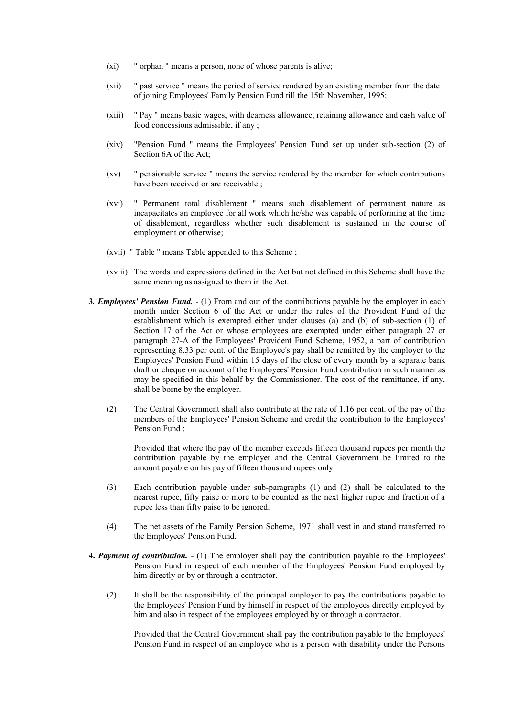- (xi) " orphan " means a person, none of whose parents is alive;
- (xii) " past service " means the period of service rendered by an existing member from the date of joining Employees' Family Pension Fund till the 15th November, 1995;
- (xiii) " Pay " means basic wages, with dearness allowance, retaining allowance and cash value of food concessions admissible, if any ;
- (xiv) "Pension Fund '' means the Employees' Pension Fund set up under sub-section (2) of Section 6A of the Act;
- (xv) " pensionable service " means the service rendered by the member for which contributions have been received or are receivable ;
- (xvi) " Permanent total disablement " means such disablement of permanent nature as incapacitates an employee for all work which he/she was capable of performing at the time of disablement, regardless whether such disablement is sustained in the course of employment or otherwise;
- (xvii) " Table " means Table appended to this Scheme ;
- (xviii) The words and expressions defined in the Act but not defined in this Scheme shall have the same meaning as assigned to them in the Act.
- **3***. Employees' Pension Fund.*  (1) From and out of the contributions payable by the employer in each month under Section 6 of the Act or under the rules of the Provident Fund of the establishment which is exempted either under clauses (a) and (b) of sub-section (1) of Section 17 of the Act or whose employees are exempted under either paragraph 27 or paragraph 27-A of the Employees' Provident Fund Scheme, 1952, a part of contribution representing 8.33 per cent. of the Employee's pay shall be remitted by the employer to the Employees' Pension Fund within 15 days of the close of every month by a separate bank draft or cheque on account of the Employees' Pension Fund contribution in such manner as may be specified in this behalf by the Commissioner. The cost of the remittance, if any, shall be borne by the employer.
	- (2) The Central Government shall also contribute at the rate of 1.16 per cent. of the pay of the members of the Employees' Pension Scheme and credit the contribution to the Employees' Pension Fund :

Provided that where the pay of the member exceeds fifteen thousand rupees per month the contribution payable by the employer and the Central Government be limited to the amount payable on his pay of fifteen thousand rupees only.

- (3) Each contribution payable under sub-paragraphs (1) and (2) shall be calculated to the nearest rupee, fifty paise or more to be counted as the next higher rupee and fraction of a rupee less than fifty paise to be ignored.
- (4) The net assets of the Family Pension Scheme, 1971 shall vest in and stand transferred to the Employees' Pension Fund.
- **4.** *Payment of contribution.*  (1) The employer shall pay the contribution payable to the Employees' Pension Fund in respect of each member of the Employees' Pension Fund employed by him directly or by or through a contractor.
	- (2) It shall be the responsibility of the principal employer to pay the contributions payable to the Employees' Pension Fund by himself in respect of the employees directly employed by him and also in respect of the employees employed by or through a contractor.

Provided that the Central Government shall pay the contribution payable to the Employees' Pension Fund in respect of an employee who is a person with disability under the Persons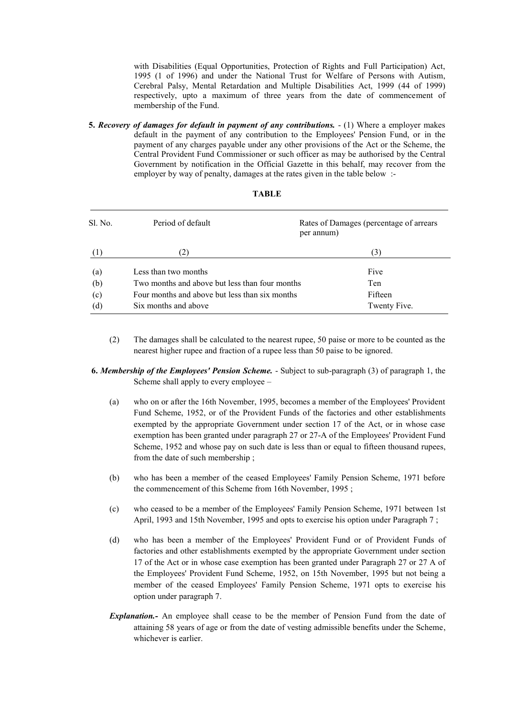with Disabilities (Equal Opportunities, Protection of Rights and Full Participation) Act, 1995 (1 of 1996) and under the National Trust for Welfare of Persons with Autism, Cerebral Palsy, Mental Retardation and Multiple Disabilities Act, 1999 (44 of 1999) respectively, upto a maximum of three years from the date of commencement of membership of the Fund.

**5.** *Recovery of damages for default in payment of any contributions.* - (1) Where a employer makes default in the payment of any contribution to the Employees' Pension Fund, or in the payment of any charges payable under any other provisions of the Act or the Scheme, the Central Provident Fund Commissioner or such officer as may be authorised by the Central Government by notification in the Official Gazette in this behalf, may recover from the employer by way of penalty, damages at the rates given in the table below :-

| Sl. No. | Period of default                              | Rates of Damages (percentage of arrears)<br>per annum) |
|---------|------------------------------------------------|--------------------------------------------------------|
| (1)     |                                                | (3)                                                    |
| (a)     | Less than two months                           | Five                                                   |
| (b)     | Two months and above but less than four months | Ten                                                    |
| (c)     | Four months and above but less than six months | Fifteen                                                |
| (d)     | Six months and above                           | Twenty Five.                                           |

- (2) The damages shall be calculated to the nearest rupee, 50 paise or more to be counted as the nearest higher rupee and fraction of a rupee less than 50 paise to be ignored.
- **6.** *Membership of the Employees' Pension Scheme.*  Subject to sub-paragraph (3) of paragraph 1, the Scheme shall apply to every employee –
	- (a) who on or after the 16th November, 1995, becomes a member of the Employees' Provident Fund Scheme, 1952, or of the Provident Funds of the factories and other establishments exempted by the appropriate Government under section 17 of the Act, or in whose case exemption has been granted under paragraph 27 or 27-A of the Employees' Provident Fund Scheme, 1952 and whose pay on such date is less than or equal to fifteen thousand rupees, from the date of such membership ;
	- (b) who has been a member of the ceased Employees' Family Pension Scheme, 1971 before the commencement of this Scheme from 16th November, 1995 ;
	- (c) who ceased to be a member of the Employees' Family Pension Scheme, 1971 between 1st April, 1993 and 15th November, 1995 and opts to exercise his option under Paragraph 7 ;
	- (d) who has been a member of the Employees' Provident Fund or of Provident Funds of factories and other establishments exempted by the appropriate Government under section 17 of the Act or in whose case exemption has been granted under Paragraph 27 or 27 A of the Employees' Provident Fund Scheme, 1952, on 15th November, 1995 but not being a member of the ceased Employees' Family Pension Scheme, 1971 opts to exercise his option under paragraph 7.
	- *Explanation.-* An employee shall cease to be the member of Pension Fund from the date of attaining 58 years of age or from the date of vesting admissible benefits under the Scheme, whichever is earlier.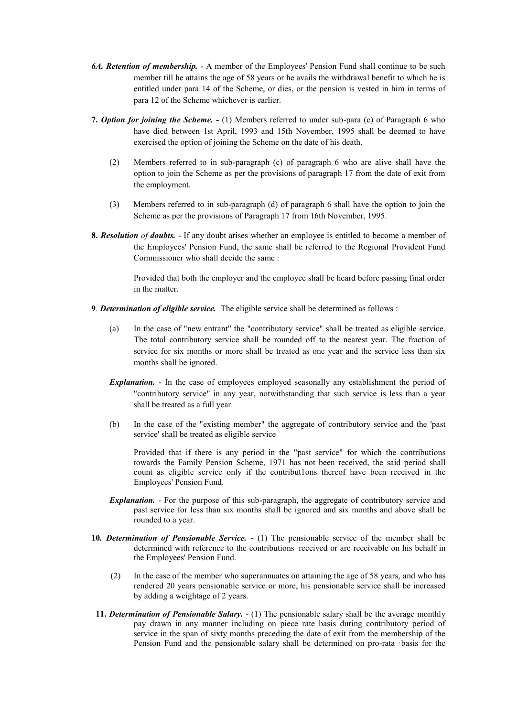- *6A. Retention of membership.*  A member of the Employees' Pension Fund shall continue to be such member till he attains the age of 58 years or he avails the withdrawal benefit to which he is entitled under para 14 of the Scheme, or dies, or the pension is vested in him in terms of para 12 of the Scheme whichever is earlier.
- **7.** *Option for joining the Scheme.* **-** (1) Members referred to under sub-para (c) of Paragraph 6 who have died between 1st April, 1993 and 15th November, 1995 shall be deemed to have exercised the option of joining the Scheme on the date of his death.
	- (2) Members referred to in sub-paragraph (c) of paragraph 6 who are alive shall have the option to join the Scheme as per the provisions of paragraph 17 from the date of exit from the employment.
	- (3) Members referred to in sub-paragraph (d) of paragraph 6 shall have the option to join the Scheme as per the provisions of Paragraph 17 from 16th November, 1995.
- **8.** *Resolution of doubts.*  If any doubt arises whether an employee is entitled to become a member of the Employees' Pension Fund, the same shall be referred to the Regional Provident Fund Commissioner who shall decide the same :

Provided that both the employer and the employee shall be heard before passing final order in the matter.

- **9***. Determination of eligible service.* The eligible service shall be determined as follows :
	- (a) In the case of "new entrant" the "contributory service" shall be treated as eligible service. The total contributory service shall be rounded off to the nearest year. The fraction of service for six months or more shall be treated as one year and the service less than six months shall be ignored.
	- *Explanation.* In the case of employees employed seasonally any establishment the period of "contributory service'' in any year, notwithstanding that such service is less than a year shall be treated as a full year.
	- (b) In the case of the "existing member" the aggregate of contributory service and the 'past service' shall be treated as eligible service

Provided that if there is any period in the "past service" for which the contributions towards the Family Pension Scheme, 1971 has not been received, the said period shall count as eligible service only if the contribut1ons thereof have been received in the Employees' Pension Fund.

- *Explanation.* For the purpose of this sub-paragraph, the aggregate of contributory service and past service for less than six months shall be ignored and six months and above shall be rounded to a year.
- **10***. Determination of Pensionable Service. -* (1) The pensionable service of the member shall be determined with reference to the contributions received or are receivable on his behalf in the Employees' Pension Fund.
	- (2) In the case of the member who superannuates on attaining the age of 58 years, and who has rendered 20 years pensionable service or more, his pensionable service shall be increased by adding a weightage of 2 years.
- **11. Determination of Pensionable Salary.**  $(1)$  The pensionable salary shall be the average monthly pay drawn in any manner including on piece rate basis during contributory period of service in the span of sixty months preceding the date of exit from the membership of the Pension Fund and the pensionable salary shall be determined on pro-rata ·basis for the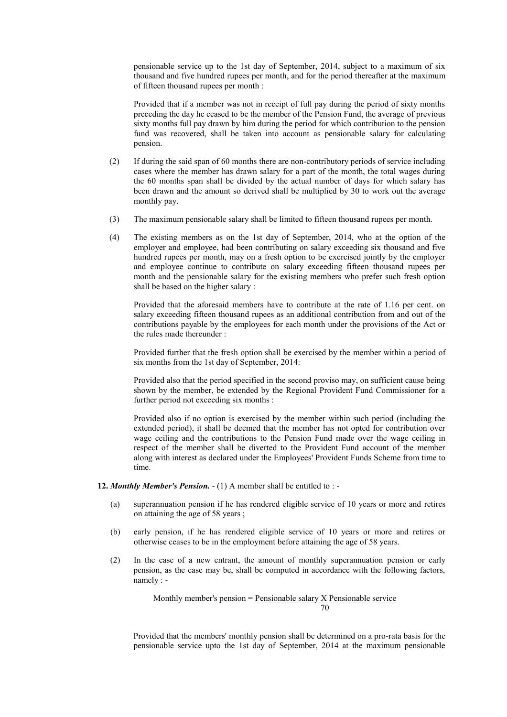pensionable service up to the 1st day of September, 2014, subject to a maximum of six thousand and five hundred rupees per month, and for the period thereafter at the maximum of fifteen thousand rupees per month :

Provided that if a member was not in receipt of full pay during the period of sixty months preceding the day he ceased to be the member of the Pension Fund, the average of previous sixty months full pay drawn by him during the period for which contribution to the pension fund was recovered, shall be taken into account as pensionable salary for calculating pension.

- (2) If during the said span of 60 months there are non-contributory periods of service including cases where the member has drawn salary for a part of the month, the total wages during the 60 months span shall be divided by the actual number of days for which salary has been drawn and the amount so derived shall be multiplied by 30 to work out the average monthly pay.
- (3) The maximum pensionable salary shall be limited to fifteen thousand rupees per month.
- (4) The existing members as on the 1st day of September, 2014, who at the option of the employer and employee, had been contributing on salary exceeding six thousand and five hundred rupees per month, may on a fresh option to be exercised jointly by the employer and employee continue to contribute on salary exceeding fifteen thousand rupees per month and the pensionable salary for the existing members who prefer such fresh option shall be based on the higher salary :

Provided that the aforesaid members have to contribute at the rate of 1.16 per cent. on salary exceeding fifteen thousand rupees as an additional contribution from and out of the contributions payable by the employees for each month under the provisions of the Act or the rules made thereunder :

Provided further that the fresh option shall be exercised by the member within a period of six months from the 1st day of September, 2014:

Provided also that the period specified in the second proviso may, on sufficient cause being shown by the member, be extended by the Regional Provident Fund Commissioner for a further period not exceeding six months :

Provided also if no option is exercised by the member within such period (including the extended period), it shall be deemed that the member has not opted for contribution over wage ceiling and the contributions to the Pension Fund made over the wage ceiling in respect of the member shall be diverted to the Provident Fund account of the member along with interest as declared under the Employees' Provident Funds Scheme from time to time.

**12.** *Monthly Member's Pension.* - (1) A member shall be entitled to : -

- (a) superannuation pension if he has rendered eligible service of 10 years or more and retires on attaining the age of 58 years ;
- (b) early pension, if he has rendered eligible service of 10 years or more and retires or otherwise ceases to be in the employment before attaining the age of 58 years.
- (2) In the case of a new entrant, the amount of monthly superannuation pension or early pension, as the case may be, shall be computed in accordance with the following factors, namely : -

Monthly member's pension = Pensionable salary X Pensionable service 70

Provided that the members' monthly pension shall be determined on a pro-rata basis for the pensionable service upto the 1st day of September, 2014 at the maximum pensionable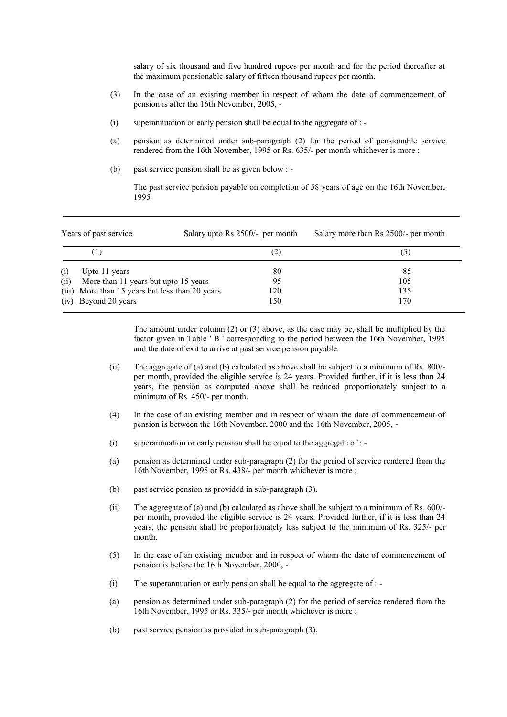salary of six thousand and five hundred rupees per month and for the period thereafter at the maximum pensionable salary of fifteen thousand rupees per month.

- (3) In the case of an existing member in respect of whom the date of commencement of pension is after the 16th November, 2005, -
- (i) superannuation or early pension shall be equal to the aggregate of : -
- (a) pension as determined under sub-paragraph (2) for the period of pensionable service rendered from the 16th November, 1995 or Rs. 635/- per month whichever is more ;
- (b) past service pension shall be as given below : -

The past service pension payable on completion of 58 years of age on the 16th November, 1995

| Years of past service |                                                 | Salary upto Rs 2500/- per month |     | Salary more than Rs 2500/- per month |  |
|-----------------------|-------------------------------------------------|---------------------------------|-----|--------------------------------------|--|
|                       | (!)                                             |                                 | (2) | (3)                                  |  |
| (i)                   | Upto 11 years                                   |                                 | 80  | 85                                   |  |
| (ii)                  | More than 11 years but upto 15 years            |                                 | 95  | 105                                  |  |
|                       | (iii) More than 15 years but less than 20 years |                                 | 120 | 135                                  |  |
|                       | (iv) Beyond 20 years                            |                                 | 150 | 170                                  |  |

The amount under column (2) or (3) above, as the case may be, shall be multiplied by the factor given in Table ' B ' corresponding to the period between the 16th November, 1995 and the date of exit to arrive at past service pension payable.

- (ii) The aggregate of (a) and (b) calculated as above shall be subject to a minimum of Rs. 800/ per month, provided the eligible service is 24 years. Provided further, if it is less than 24 years, the pension as computed above shall be reduced proportionately subject to a minimum of Rs. 450/- per month.
- (4) In the case of an existing member and in respect of whom the date of commencement of pension is between the 16th November, 2000 and the 16th November, 2005, -
- (i) superannuation or early pension shall be equal to the aggregate of : -
- (a) pension as determined under sub-paragraph (2) for the period of service rendered from the 16th November, 1995 or Rs. 438/- per month whichever is more ;
- (b) past service pension as provided in sub-paragraph (3).
- (ii) The aggregate of (a) and (b) calculated as above shall be subject to a minimum of Rs. 600/ per month, provided the eligible service is 24 years. Provided further, if it is less than 24 years, the pension shall be proportionately less subject to the minimum of Rs. 325/- per month.
- (5) In the case of an existing member and in respect of whom the date of commencement of pension is before the 16th November, 2000, -
- (i) The superannuation or early pension shall be equal to the aggregate of : -
- (a) pension as determined under sub-paragraph (2) for the period of service rendered from the 16th November, 1995 or Rs. 335/- per month whichever is more ;
- (b) past service pension as provided in sub-paragraph (3).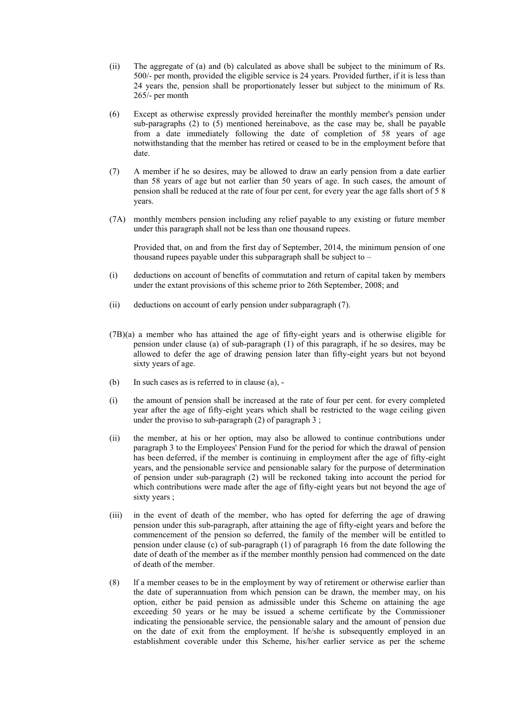- (ii) The aggregate of (a) and (b) calculated as above shall be subject to the minimum of Rs. 500/- per month, provided the eligible service is 24 years. Provided further, if it is less than 24 years the, pension shall be proportionately lesser but subject to the minimum of Rs. 265/- per month
- (6) Except as otherwise expressly provided hereinafter the monthly member's pension under sub-paragraphs (2) to (5) mentioned hereinabove, as the case may be, shall be payable from a date immediately following the date of completion of 58 years of age notwithstanding that the member has retired or ceased to be in the employment before that date.
- (7) A member if he so desires, may be allowed to draw an early pension from a date earlier than 58 years of age but not earlier than 50 years of age. In such cases, the amount of pension shall be reduced at the rate of four per cent, for every year the age falls short of 5 8 years.
- (7A) monthly members pension including any relief payable to any existing or future member under this paragraph shall not be less than one thousand rupees.

Provided that, on and from the first day of September, 2014, the minimum pension of one thousand rupees payable under this subparagraph shall be subject to –

- (i) deductions on account of benefits of commutation and return of capital taken by members under the extant provisions of this scheme prior to 26th September, 2008; and
- (ii) deductions on account of early pension under subparagraph (7).
- (7B)(a) a member who has attained the age of fifty-eight years and is otherwise eligible for pension under clause (a) of sub-paragraph (1) of this paragraph, if he so desires, may be allowed to defer the age of drawing pension later than fifty-eight years but not beyond sixty years of age.
- (b) In such cases as is referred to in clause (a), -
- (i) the amount of pension shall be increased at the rate of four per cent. for every completed year after the age of fifty-eight years which shall be restricted to the wage ceiling given under the proviso to sub-paragraph  $(2)$  of paragraph 3;
- (ii) the member, at his or her option, may also be allowed to continue contributions under paragraph 3 to the Employees' Pension Fund for the period for which the drawal of pension has been deferred, if the member is continuing in employment after the age of fifty-eight years, and the pensionable service and pensionable salary for the purpose of determination of pension under sub-paragraph (2) will be reckoned taking into account the period for which contributions were made after the age of fifty-eight years but not beyond the age of sixty years ;
- (iii) in the event of death of the member, who has opted for deferring the age of drawing pension under this sub-paragraph, after attaining the age of fifty-eight years and before the commencement of the pension so deferred, the family of the member will be entitled to pension under clause (c) of sub-paragraph (1) of paragraph 16 from the date following the date of death of the member as if the member monthly pension had commenced on the date of death of the member.
- (8) lf a member ceases to be in the employment by way of retirement or otherwise earlier than the date of superannuation from which pension can be drawn, the member may, on his option, either be paid pension as admissible under this Scheme on attaining the age exceeding 50 years or he may be issued a scheme certificate by the Commissioner indicating the pensionable service, the pensionable salary and the amount of pension due on the date of exit from the employment. lf he/she is subsequently employed in an establishment coverable under this Scheme, his/her earlier service as per the scheme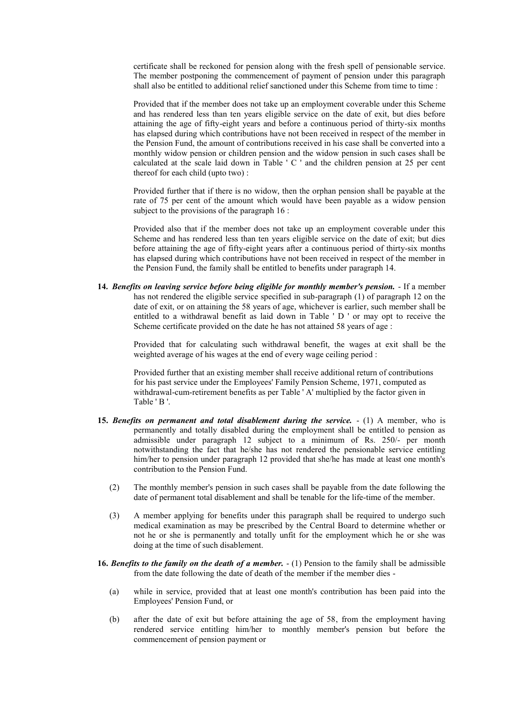certificate shall be reckoned for pension along with the fresh spell of pensionable service. The member postponing the commencement of payment of pension under this paragraph shall also be entitled to additional relief sanctioned under this Scheme from time to time :

Provided that if the member does not take up an employment coverable under this Scheme and has rendered less than ten years eligible service on the date of exit, but dies before attaining the age of fifty-eight years and before a continuous period of thirty-six months has elapsed during which contributions have not been received in respect of the member in the Pension Fund, the amount of contributions received in his case shall be converted into a monthly widow pension or children pension and the widow pension in such cases shall be calculated at the scale laid down in Table ' C ' and the children pension at 25 per cent thereof for each child (upto two) :

Provided further that if there is no widow, then the orphan pension shall be payable at the rate of 75 per cent of the amount which would have been payable as a widow pension subject to the provisions of the paragraph 16 :

Provided also that if the member does not take up an employment coverable under this Scheme and has rendered less than ten years eligible service on the date of exit; but dies before attaining the age of fifty-eight years after a continuous period of thirty-six months has elapsed during which contributions have not been received in respect of the member in the Pension Fund, the family shall be entitled to benefits under paragraph 14.

**14***. Benefits on leaving service before being eligible for monthly member's pension.* - If a member has not rendered the eligible service specified in sub-paragraph (1) of paragraph 12 on the date of exit, or on attaining the 58 years of age, whichever is earlier, such member shall be entitled to a withdrawal benefit as laid down in Table ' D ' or may opt to receive the Scheme certificate provided on the date he has not attained 58 years of age :

> Provided that for calculating such withdrawal benefit, the wages at exit shall be the weighted average of his wages at the end of every wage ceiling period :

Provided further that an existing member shall receive additional return of contributions for his past service under the Employees' Family Pension Scheme, 1971, computed as withdrawal-cum-retirement benefits as per Table ' A' multiplied by the factor given in Table ' B '.

- **15.** *Benefits on permanent and total disablement during the service.*  (1) A member, who is permanently and totally disabled during the employment shall be entitled to pension as admissible under paragraph 12 subject to a minimum of Rs. 250/- per month notwithstanding the fact that he/she has not rendered the pensionable service entitling him/her to pension under paragraph 12 provided that she/he has made at least one month's contribution to the Pension Fund.
	- (2) The monthly member's pension in such cases shall be payable from the date following the date of permanent total disablement and shall be tenable for the life-time of the member.
	- (3) A member applying for benefits under this paragraph shall be required to undergo such medical examination as may be prescribed by the Central Board to determine whether or not he or she is permanently and totally unfit for the employment which he or she was doing at the time of such disablement.
- **16.** *Benefits to the family on the death of a member.*  (1) Pension to the family shall be admissible from the date following the date of death of the member if the member dies -
	- (a) while in service, provided that at least one month's contribution has been paid into the Employees' Pension Fund, or
	- (b) after the date of exit but before attaining the age of 58, from the employment having rendered service entitling him/her to monthly member's pension but before the commencement of pension payment or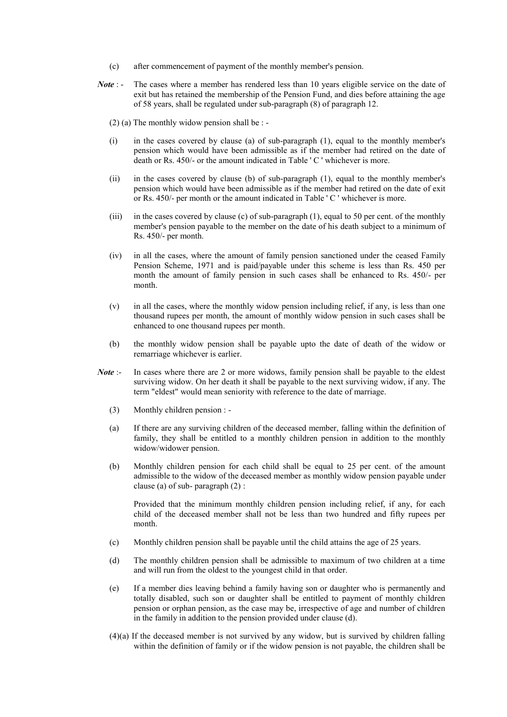- (c) after commencement of payment of the monthly member's pension.
- *Note* : The cases where a member has rendered less than 10 years eligible service on the date of exit but has retained the membership of the Pension Fund, and dies before attaining the age of 58 years, shall be regulated under sub-paragraph (8) of paragraph 12.
	- (2) (a) The monthly widow pension shall be : -
	- (i) in the cases covered by clause (a) of sub-paragraph (1), equal to the monthly member's pension which would have been admissible as if the member had retired on the date of death or Rs. 450/- or the amount indicated in Table ' C ' whichever is more.
	- (ii) in the cases covered by clause (b) of sub-paragraph (1), equal to the monthly member's pension which would have been admissible as if the member had retired on the date of exit or Rs. 450/- per month or the amount indicated in Table ' C ' whichever is more.
	- (iii) in the cases covered by clause (c) of sub-paragraph (1), equal to 50 per cent. of the monthly member's pension payable to the member on the date of his death subject to a minimum of Rs. 450/- per month.
	- (iv) in all the cases, where the amount of family pension sanctioned under the ceased Family Pension Scheme, 1971 and is paid/payable under this scheme is less than Rs. 450 per month the amount of family pension in such cases shall be enhanced to Rs. 450/- per month.
	- (v) in all the cases, where the monthly widow pension including relief, if any, is less than one thousand rupees per month, the amount of monthly widow pension in such cases shall be enhanced to one thousand rupees per month.
	- (b) the monthly widow pension shall be payable upto the date of death of the widow or remarriage whichever is earlier.
- *Note* :- In cases where there are 2 or more widows, family pension shall be payable to the eldest surviving widow. On her death it shall be payable to the next surviving widow, if any. The term "eldest" would mean seniority with reference to the date of marriage.
	- (3) Monthly children pension : -
	- (a) If there are any surviving children of the deceased member, falling within the definition of family, they shall be entitled to a monthly children pension in addition to the monthly widow/widower pension.
	- (b) Monthly children pension for each child shall be equal to 25 per cent. of the amount admissible to the widow of the deceased member as monthly widow pension payable under clause (a) of sub- paragraph (2) :

Provided that the minimum monthly children pension including relief, if any, for each child of the deceased member shall not be less than two hundred and fifty rupees per month.

- (c) Monthly children pension shall be payable until the child attains the age of 25 years.
- (d) The monthly children pension shall be admissible to maximum of two children at a time and will run from the oldest to the youngest child in that order.
- (e) If a member dies leaving behind a family having son or daughter who is permanently and totally disabled, such son or daughter shall be entitled to payment of monthly children pension or orphan pension, as the case may be, irrespective of age and number of children in the family in addition to the pension provided under clause (d).
- (4)(a) If the deceased member is not survived by any widow, but is survived by children falling within the definition of family or if the widow pension is not payable, the children shall be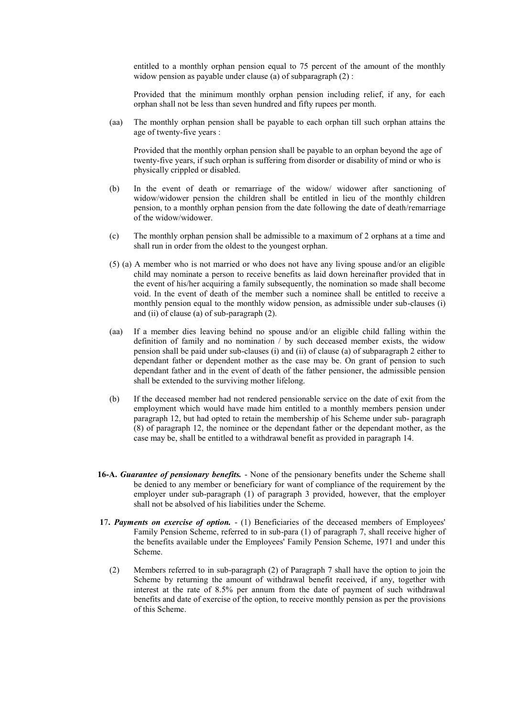entitled to a monthly orphan pension equal to 75 percent of the amount of the monthly widow pension as payable under clause (a) of subparagraph (2) :

Provided that the minimum monthly orphan pension including relief, if any, for each orphan shall not be less than seven hundred and fifty rupees per month.

(aa) The monthly orphan pension shall be payable to each orphan till such orphan attains the age of twenty-five years :

Provided that the monthly orphan pension shall be payable to an orphan beyond the age of twenty-five years, if such orphan is suffering from disorder or disability of mind or who is physically crippled or disabled.

- (b) In the event of death or remarriage of the widow/ widower after sanctioning of widow/widower pension the children shall be entitled in lieu of the monthly children pension, to a monthly orphan pension from the date following the date of death/remarriage of the widow/widower.
- (c) The monthly orphan pension shall be admissible to a maximum of 2 orphans at a time and shall run in order from the oldest to the youngest orphan.
- (5) (a) A member who is not married or who does not have any living spouse and/or an eligible child may nominate a person to receive benefits as laid down hereinafter provided that in the event of his/her acquiring a family subsequently, the nomination so made shall become void. In the event of death of the member such a nominee shall be entitled to receive a monthly pension equal to the monthly widow pension, as admissible under sub-clauses (i) and (ii) of clause (a) of sub-paragraph (2).
- (aa) If a member dies leaving behind no spouse and/or an eligible child falling within the definition of family and no nomination / by such deceased member exists, the widow pension shall be paid under sub-clauses (i) and (ii) of clause (a) of subparagraph 2 either to dependant father or dependent mother as the case may be. On grant of pension to such dependant father and in the event of death of the father pensioner, the admissible pension shall be extended to the surviving mother lifelong.
- (b) If the deceased member had not rendered pensionable service on the date of exit from the employment which would have made him entitled to a monthly members pension under paragraph 12, but had opted to retain the membership of his Scheme under sub- paragraph (8) of paragraph 12, the nominee or the dependant father or the dependant mother, as the case may be, shall be entitled to a withdrawal benefit as provided in paragraph 14.
- **16-A.** *Guarantee of pensionary benefits.*  None of the pensionary benefits under the Scheme shall be denied to any member or beneficiary for want of compliance of the requirement by the employer under sub-paragraph (1) of paragraph 3 provided, however, that the employer shall not be absolved of his liabilities under the Scheme.
- **1**7**.** *Payments on exercise of option.*  (1) Beneficiaries of the deceased members of Employees' Family Pension Scheme, referred to in sub-para (1) of paragraph 7, shall receive higher of the benefits available under the Employees' Family Pension Scheme, 1971 and under this Scheme.
	- (2) Members referred to in sub-paragraph (2) of Paragraph 7 shall have the option to join the Scheme by returning the amount of withdrawal benefit received, if any, together with interest at the rate of 8.5% per annum from the date of payment of such withdrawal benefits and date of exercise of the option, to receive monthly pension as per the provisions of this Scheme.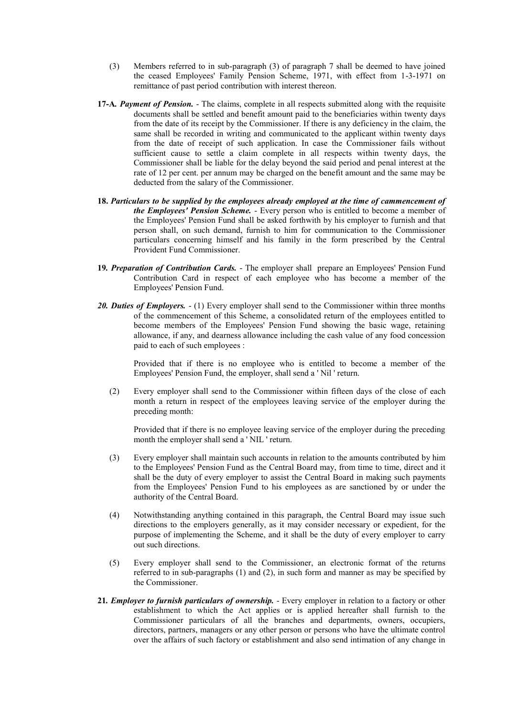- (3) Members referred to in sub-paragraph (3) of paragraph 7 shall be deemed to have joined the ceased Employees' Family Pension Scheme, 1971, with effect from 1-3-1971 on remittance of past period contribution with interest thereon.
- **17-A***. Payment of Pension.*  The claims, complete in all respects submitted along with the requisite documents shall be settled and benefit amount paid to the beneficiaries within twenty days from the date of its receipt by the Commissioner. If there is any deficiency in the claim, the same shall be recorded in writing and communicated to the applicant within twenty days from the date of receipt of such application. In case the Commissioner fails without sufficient cause to settle a claim complete in all respects within twenty days, the Commissioner shall be liable for the delay beyond the said period and penal interest at the rate of 12 per cent. per annum may be charged on the benefit amount and the same may be deducted from the salary of the Commissioner.
- **18.** *Particulars to be supplied by the employees already employed at the time of cammencement of the Employees' Pension Scheme.* - Every person who is entitled to become a member of the Employees' Pension Fund shall be asked forthwith by his employer to furnish and that person shall, on such demand, furnish to him for communication to the Commissioner particulars concerning himself and his family in the form prescribed by the Central Provident Fund Commissioner.
- **19***. Preparation of Contribution Cards.*  The employer shall prepare an Employees' Pension Fund Contribution Card in respect of each employee who has become a member of the Employees' Pension Fund.
- 20. Duties of Employers.  $\overline{\phantom{a}}$  (1) Every employer shall send to the Commissioner within three months of the commencement of this Scheme, a consolidated return of the employees entitled to become members of the Employees' Pension Fund showing the basic wage, retaining allowance, if any, and dearness allowance including the cash value of any food concession paid to each of such employees :

Provided that if there is no employee who is entitled to become a member of the Employees' Pension Fund, the employer, shall send a ' Nil ' return.

(2) Every employer shall send to the Commissioner within fifteen days of the close of each month a return in respect of the employees leaving service of the employer during the preceding month:

Provided that if there is no employee leaving service of the employer during the preceding month the employer shall send a ' NIL ' return.

- (3) Every employer shall maintain such accounts in relation to the amounts contributed by him to the Employees' Pension Fund as the Central Board may, from time to time, direct and it shall be the duty of every employer to assist the Central Board in making such payments from the Employees' Pension Fund to his employees as are sanctioned by or under the authority of the Central Board.
- (4) Notwithstanding anything contained in this paragraph, the Central Board may issue such directions to the employers generally, as it may consider necessary or expedient, for the purpose of implementing the Scheme, and it shall be the duty of every employer to carry out such directions.
- (5) Every employer shall send to the Commissioner, an electronic format of the returns referred to in sub-paragraphs (1) and (2), in such form and manner as may be specified by the Commissioner.
- **21***. Employer to furnish particulars of ownership.*  Every employer in relation to a factory or other establishment to which the Act applies or is applied hereafter shall furnish to the Commissioner particulars of all the branches and departments, owners, occupiers, directors, partners, managers or any other person or persons who have the ultimate control over the affairs of such factory or establishment and also send intimation of any change in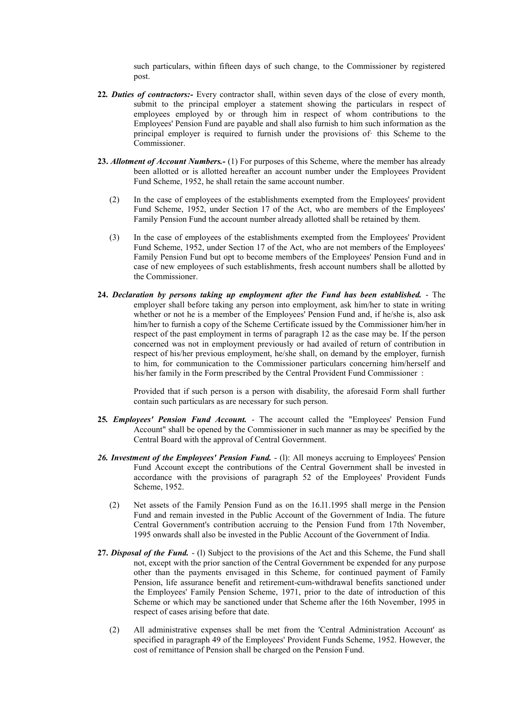such particulars, within fifteen days of such change, to the Commissioner by registered post.

- **22***. Duties of contractors:-* Every contractor shall, within seven days of the close of every month, submit to the principal employer a statement showing the particulars in respect of employees employed by or through him in respect of whom contributions to the Employees' Pension Fund are payable and shall also furnish to him such information as the principal employer is required to furnish under the provisions of· this Scheme to the Commissioner.
- **23.** *Allotment of Account Numbers.-* (1) For purposes of this Scheme, where the member has already been allotted or is allotted hereafter an account number under the Employees Provident Fund Scheme, 1952, he shall retain the same account number.
	- (2) In the case of employees of the establishments exempted from the Employees' provident Fund Scheme, 1952, under Section 17 of the Act, who are members of the Employees' Family Pension Fund the account number already allotted shall be retained by them.
	- (3) In the case of employees of the establishments exempted from the Employees' Provident Fund Scheme, 1952, under Section 17 of the Act, who are not members of the Employees' Family Pension Fund but opt to become members of the Employees' Pension Fund and in case of new employees of such establishments, fresh account numbers shall be allotted by the Commissioner.
- **24.** *Declaration by persons taking up employment after the Fund has been established.*  The employer shall before taking any person into employment, ask him/her to state in writing whether or not he is a member of the Employees' Pension Fund and, if he/she is, also ask him/her to furnish a copy of the Scheme Certificate issued by the Commissioner him/her in respect of the past employment in terms of paragraph 12 as the case may be. If the person concerned was not in employment previously or had availed of return of contribution in respect of his/her previous employment, he/she shall, on demand by the employer, furnish to him, for communication to the Commissioner particulars concerning him/herself and his/her family in the Form prescribed by the Central Provident Fund Commissioner :

Provided that if such person is a person with disability, the aforesaid Form shall further contain such particulars as are necessary for such person.

- **25***. Employees' Pension Fund Account.*  The account called the "Employees' Pension Fund Account" shall be opened by the Commissioner in such manner as may be specified by the Central Board with the approval of Central Government.
- *26. Investment of the Employees' Pension Fund.*  (l): All moneys accruing to Employees' Pension Fund Account except the contributions of the Central Government shall be invested in accordance with the provisions of paragraph 52 of the Employees' Provident Funds Scheme, 1952.
	- (2) Net assets of the Family Pension Fund as on the 16.l1.1995 shall merge in the Pension Fund and remain invested in the Public Account of the Government of India. The future Central Government's contribution accruing to the Pension Fund from 17th November, 1995 onwards shall also be invested in the Public Account of the Government of India.
- **27.** *Disposal of the Fund.*  (l) Subject to the provisions of the Act and this Scheme, the Fund shall not, except with the prior sanction of the Central Government be expended for any purpose other than the payments envisaged in this Scheme, for continued payment of Family Pension, life assurance benefit and retirement-cum-withdrawal benefits sanctioned under the Employees' Family Pension Scheme, 1971, prior to the date of introduction of this Scheme or which may be sanctioned under that Scheme after the 16th November, 1995 in respect of cases arising before that date.
	- (2) All administrative expenses shall be met from the 'Central Administration Account' as specified in paragraph 49 of the Employees' Provident Funds Scheme, 1952. However, the cost of remittance of Pension shall be charged on the Pension Fund.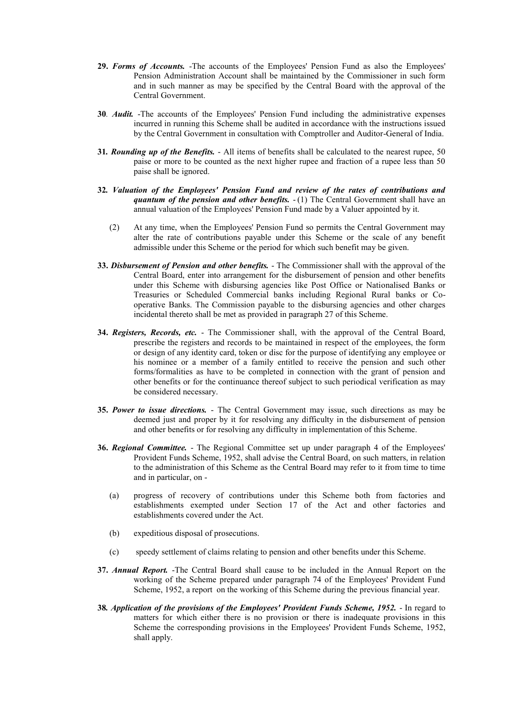- **29.** *Forms of Accounts.* -The accounts of the Employees' Pension Fund as also the Employees' Pension Administration Account shall be maintained by the Commissioner in such form and in such manner as may be specified by the Central Board with the approval of the Central Government.
- **30***. Audit.* -The accounts of the Employees' Pension Fund including the administrative expenses incurred in running this Scheme shall be audited in accordance with the instructions issued by the Central Government in consultation with Comptroller and Auditor-General of India.
- **31***. Rounding up of the Benefits.*  All items of benefits shall be calculated to the nearest rupee, 50 paise or more to be counted as the next higher rupee and fraction of a rupee less than 50 paise shall be ignored.
- **32***. Valuation of the Employees' Pension Fund and review of the rates of contributions and quantum of the pension and other benefits.*  $-(1)$  The Central Government shall have an annual valuation of the Employees' Pension Fund made by a Valuer appointed by it.
	- (2) At any time, when the Employees' Pension Fund so permits the Central Government may alter the rate of contributions payable under this Scheme or the scale of any benefit admissible under this Scheme or the period for which such benefit may be given.
- **33.** *Disbursement of Pension and other benefits.*  The Commissioner shall with the approval of the Central Board, enter into arrangement for the disbursement of pension and other benefits under this Scheme with disbursing agencies like Post Office or Nationalised Banks or Treasuries or Scheduled Commercial banks including Regional Rural banks or Cooperative Banks. The Commission payable to the disbursing agencies and other charges incidental thereto shall be met as provided in paragraph 27 of this Scheme.
- **34.** *Registers, Records, etc.* The Commissioner shall, with the approval of the Central Board, prescribe the registers and records to be maintained in respect of the employees, the form or design of any identity card, token or disc for the purpose of identifying any employee or his nominee or a member of a family entitled to receive the pension and such other forms/formalities as have to be completed in connection with the grant of pension and other benefits or for the continuance thereof subject to such periodical verification as may be considered necessary.
- **35.** *Power to issue directions.*  The Central Government may issue, such directions as may be deemed just and proper by it for resolving any difficulty in the disbursement of pension and other benefits or for resolving any difficulty in implementation of this Scheme.
- **36.** *Regional Committee.*  The Regional Committee set up under paragraph 4 of the Employees' Provident Funds Scheme, 1952, shall advise the Central Board, on such matters, in relation to the administration of this Scheme as the Central Board may refer to it from time to time and in particular, on -
	- (a) progress of recovery of contributions under this Scheme both from factories and establishments exempted under Section 17 of the Act and other factories and establishments covered under the Act.
	- (b) expeditious disposal of prosecutions.
	- (c) speedy settlement of claims relating to pension and other benefits under this Scheme.
- **37.** *Annual Report.* -The Central Board shall cause to be included in the Annual Report on the working of the Scheme prepared under paragraph 74 of the Employees' Provident Fund Scheme, 1952, a report on the working of this Scheme during the previous financial year.
- **38***. Application of the provisions of the Employees' Provident Funds Scheme, 1952.*  In regard to matters for which either there is no provision or there is inadequate provisions in this Scheme the corresponding provisions in the Employees' Provident Funds Scheme, 1952, shall apply.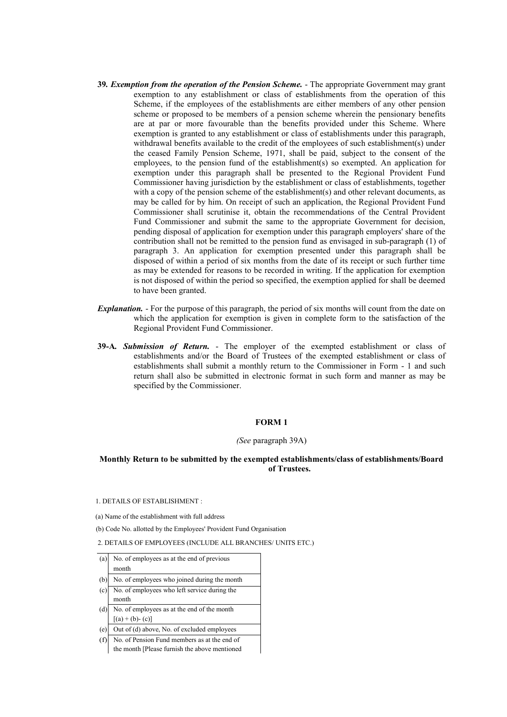- **39***. Exemption from the operation of the Pension Scheme.*  The appropriate Government may grant exemption to any establishment or class of establishments from the operation of this Scheme, if the employees of the establishments are either members of any other pension scheme or proposed to be members of a pension scheme wherein the pensionary benefits are at par or more favourable than the benefits provided under this Scheme. Where exemption is granted to any establishment or class of establishments under this paragraph, withdrawal benefits available to the credit of the employees of such establishment(s) under the ceased Family Pension Scheme, 1971, shall be paid, subject to the consent of the employees, to the pension fund of the establishment(s) so exempted. An application for exemption under this paragraph shall be presented to the Regional Provident Fund Commissioner having jurisdiction by the establishment or class of establishments, together with a copy of the pension scheme of the establishment(s) and other relevant documents, as may be called for by him. On receipt of such an application, the Regional Provident Fund Commissioner shall scrutinise it, obtain the recommendations of the Central Provident Fund Commissioner and submit the same to the appropriate Government for decision, pending disposal of application for exemption under this paragraph employers' share of the contribution shall not be remitted to the pension fund as envisaged in sub-paragraph (1) of paragraph 3. An application for exemption presented under this paragraph shall be disposed of within a period of six months from the date of its receipt or such further time as may be extended for reasons to be recorded in writing. If the application for exemption is not disposed of within the period so specified, the exemption applied for shall be deemed to have been granted.
- *Explanation.* For the purpose of this paragraph, the period of six months will count from the date on which the application for exemption is given in complete form to the satisfaction of the Regional Provident Fund Commissioner.
- **39-A***. Submission of Return.*  The employer of the exempted establishment or class of establishments and/or the Board of Trustees of the exempted establishment or class of establishments shall submit a monthly return to the Commissioner in Form - 1 and such return shall also be submitted in electronic format in such form and manner as may be specified by the Commissioner.

#### **FORM 1**

#### *(See* paragraph 39A)

## **Monthly Return to be submitted by the exempted establishments/class of establishments/Board of Trustees.**

1. DETAILS OF ESTABLISHMENT :

(a) Name of the establishment with full address

(b) Code No. allotted by the Employees' Provident Fund Organisation

2. DETAILS OF EMPLOYEES (INCLUDE ALL BRANCHES/ UNITS ETC.)

| (a) | No. of employees as at the end of previous    |  |
|-----|-----------------------------------------------|--|
|     | month                                         |  |
| (b) | No. of employees who joined during the month  |  |
| (c) | No. of employees who left service during the  |  |
|     | month                                         |  |
| (d) | No. of employees as at the end of the month   |  |
|     | $[(a) + (b) - (c)]$                           |  |
| (e) | Out of (d) above, No. of excluded employees   |  |
| (f) | No. of Pension Fund members as at the end of  |  |
|     | the month [Please furnish the above mentioned |  |